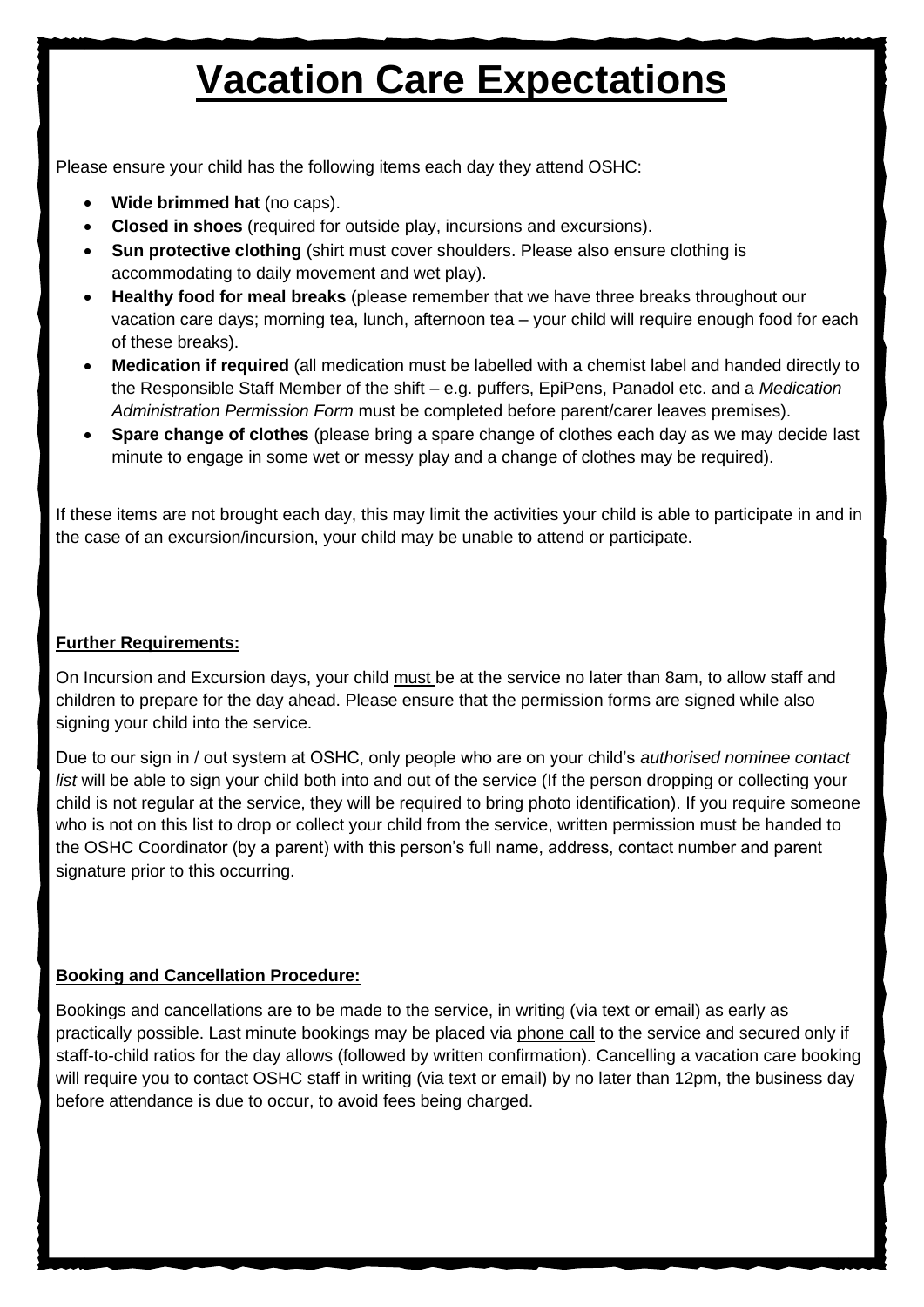# **Vacation Care Expectations**

Please ensure your child has the following items each day they attend OSHC:

- **Wide brimmed hat** (no caps).
- **Closed in shoes** (required for outside play, incursions and excursions).
- **Sun protective clothing** (shirt must cover shoulders. Please also ensure clothing is accommodating to daily movement and wet play).
- **Healthy food for meal breaks** (please remember that we have three breaks throughout our vacation care days; morning tea, lunch, afternoon tea – your child will require enough food for each of these breaks).
- **Medication if required** (all medication must be labelled with a chemist label and handed directly to the Responsible Staff Member of the shift – e.g. puffers, EpiPens, Panadol etc. and a *Medication Administration Permission Form* must be completed before parent/carer leaves premises).
- **Spare change of clothes** (please bring a spare change of clothes each day as we may decide last minute to engage in some wet or messy play and a change of clothes may be required).

If these items are not brought each day, this may limit the activities your child is able to participate in and in the case of an excursion/incursion, your child may be unable to attend or participate.

### **Further Requirements:**

On Incursion and Excursion days, your child must be at the service no later than 8am, to allow staff and children to prepare for the day ahead. Please ensure that the permission forms are signed while also signing your child into the service.

Due to our sign in / out system at OSHC, only people who are on your child's *authorised nominee contact list* will be able to sign your child both into and out of the service (If the person dropping or collecting your child is not regular at the service, they will be required to bring photo identification). If you require someone who is not on this list to drop or collect your child from the service, written permission must be handed to the OSHC Coordinator (by a parent) with this person's full name, address, contact number and parent signature prior to this occurring.

### **Booking and Cancellation Procedure:**

Bookings and cancellations are to be made to the service, in writing (via text or email) as early as practically possible. Last minute bookings may be placed via phone call to the service and secured only if staff-to-child ratios for the day allows (followed by written confirmation). Cancelling a vacation care booking will require you to contact OSHC staff in writing (via text or email) by no later than 12pm, the business day before attendance is due to occur, to avoid fees being charged.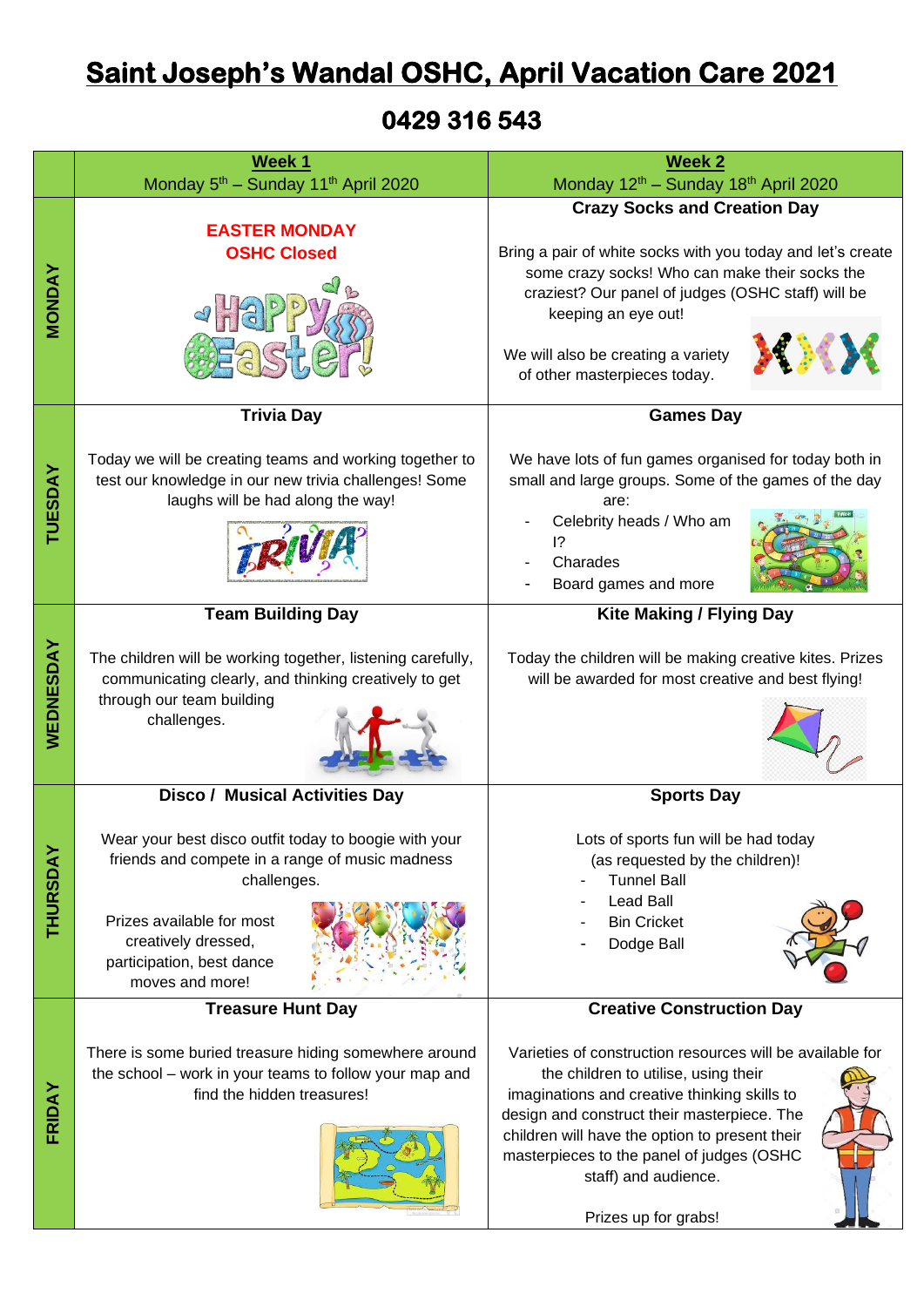## **Saint Joseph's Wandal OSHC, April Vacation Care 2021**

**0429 316 543** 

|                | Week 1                                                                                                               | <b>Week 2</b>                                                                                        |  |  |  |  |
|----------------|----------------------------------------------------------------------------------------------------------------------|------------------------------------------------------------------------------------------------------|--|--|--|--|
|                | Monday 5 <sup>th</sup> - Sunday 11 <sup>th</sup> April 2020                                                          | Monday 12 <sup>th</sup> - Sunday 18 <sup>th</sup> April 2020                                         |  |  |  |  |
|                |                                                                                                                      | <b>Crazy Socks and Creation Day</b>                                                                  |  |  |  |  |
| <b>MONDAY</b>  | <b>EASTER MONDAY</b>                                                                                                 |                                                                                                      |  |  |  |  |
|                | <b>OSHC Closed</b>                                                                                                   | Bring a pair of white socks with you today and let's create                                          |  |  |  |  |
|                |                                                                                                                      | some crazy socks! Who can make their socks the<br>craziest? Our panel of judges (OSHC staff) will be |  |  |  |  |
|                |                                                                                                                      | keeping an eye out!                                                                                  |  |  |  |  |
|                |                                                                                                                      |                                                                                                      |  |  |  |  |
|                |                                                                                                                      | We will also be creating a variety                                                                   |  |  |  |  |
|                |                                                                                                                      | of other masterpieces today.                                                                         |  |  |  |  |
|                | <b>Trivia Day</b>                                                                                                    | <b>Games Day</b>                                                                                     |  |  |  |  |
|                |                                                                                                                      |                                                                                                      |  |  |  |  |
|                | Today we will be creating teams and working together to                                                              | We have lots of fun games organised for today both in                                                |  |  |  |  |
|                | test our knowledge in our new trivia challenges! Some<br>laughs will be had along the way!                           | small and large groups. Some of the games of the day<br>are:                                         |  |  |  |  |
| <b>TUESDAY</b> |                                                                                                                      | Celebrity heads / Who am                                                                             |  |  |  |  |
|                |                                                                                                                      | $\overline{1}$ ?                                                                                     |  |  |  |  |
|                |                                                                                                                      | Charades                                                                                             |  |  |  |  |
|                |                                                                                                                      | Board games and more                                                                                 |  |  |  |  |
|                | <b>Team Building Day</b>                                                                                             | <b>Kite Making / Flying Day</b>                                                                      |  |  |  |  |
|                |                                                                                                                      | Today the children will be making creative kites. Prizes                                             |  |  |  |  |
| WEDNESDAY      | The children will be working together, listening carefully,<br>communicating clearly, and thinking creatively to get | will be awarded for most creative and best flying!                                                   |  |  |  |  |
|                | through our team building                                                                                            |                                                                                                      |  |  |  |  |
|                | challenges.                                                                                                          |                                                                                                      |  |  |  |  |
|                |                                                                                                                      |                                                                                                      |  |  |  |  |
|                |                                                                                                                      |                                                                                                      |  |  |  |  |
|                | <b>Disco / Musical Activities Day</b>                                                                                | <b>Sports Day</b>                                                                                    |  |  |  |  |
|                | Wear your best disco outfit today to boogie with your                                                                | Lots of sports fun will be had today                                                                 |  |  |  |  |
|                | friends and compete in a range of music madness                                                                      | (as requested by the children)!                                                                      |  |  |  |  |
|                | challenges.                                                                                                          | <b>Tunnel Ball</b>                                                                                   |  |  |  |  |
| THURSDAY       | Prizes available for most                                                                                            | <b>Lead Ball</b><br><b>Bin Cricket</b>                                                               |  |  |  |  |
|                | creatively dressed,                                                                                                  | Dodge Ball                                                                                           |  |  |  |  |
|                | participation, best dance                                                                                            |                                                                                                      |  |  |  |  |
|                | moves and more!                                                                                                      |                                                                                                      |  |  |  |  |
|                | <b>Treasure Hunt Day</b>                                                                                             | <b>Creative Construction Day</b>                                                                     |  |  |  |  |
|                | There is some buried treasure hiding somewhere around                                                                | Varieties of construction resources will be available for                                            |  |  |  |  |
|                | the school - work in your teams to follow your map and                                                               | the children to utilise, using their                                                                 |  |  |  |  |
| FRIDAY         | find the hidden treasures!                                                                                           | imaginations and creative thinking skills to                                                         |  |  |  |  |
|                |                                                                                                                      | design and construct their masterpiece. The                                                          |  |  |  |  |
|                |                                                                                                                      | children will have the option to present their<br>masterpieces to the panel of judges (OSHC          |  |  |  |  |
|                |                                                                                                                      | staff) and audience.                                                                                 |  |  |  |  |
|                |                                                                                                                      |                                                                                                      |  |  |  |  |
|                |                                                                                                                      | Prizes up for grabs!                                                                                 |  |  |  |  |